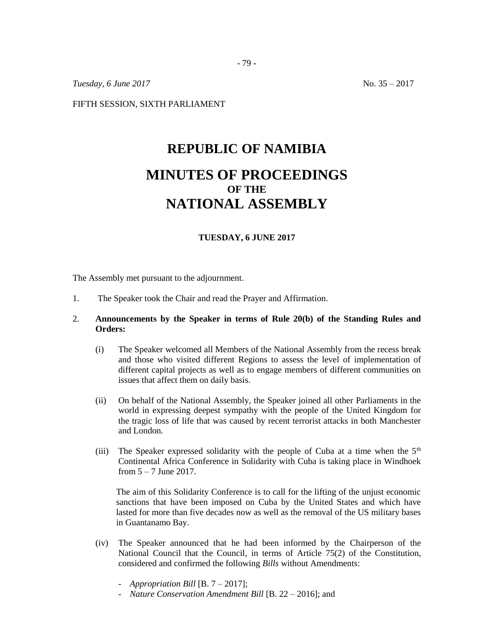*Tuesday, 6 June 2017* No. 35 – 2017

FIFTH SESSION, SIXTH PARLIAMENT

# **REPUBLIC OF NAMIBIA MINUTES OF PROCEEDINGS OF THE NATIONAL ASSEMBLY**

## **TUESDAY, 6 JUNE 2017**

The Assembly met pursuant to the adjournment.

1. The Speaker took the Chair and read the Prayer and Affirmation.

## 2. **Announcements by the Speaker in terms of Rule 20(b) of the Standing Rules and Orders:**

- (i) The Speaker welcomed all Members of the National Assembly from the recess break and those who visited different Regions to assess the level of implementation of different capital projects as well as to engage members of different communities on issues that affect them on daily basis.
- (ii) On behalf of the National Assembly, the Speaker joined all other Parliaments in the world in expressing deepest sympathy with the people of the United Kingdom for the tragic loss of life that was caused by recent terrorist attacks in both Manchester and London.
- (iii) The Speaker expressed solidarity with the people of Cuba at a time when the  $5<sup>th</sup>$ Continental Africa Conference in Solidarity with Cuba is taking place in Windhoek from  $5 - 7$  June 2017.

The aim of this Solidarity Conference is to call for the lifting of the unjust economic sanctions that have been imposed on Cuba by the United States and which have lasted for more than five decades now as well as the removal of the US military bases in Guantanamo Bay.

- (iv) The Speaker announced that he had been informed by the Chairperson of the National Council that the Council, in terms of Article 75(2) of the Constitution, considered and confirmed the following *Bills* without Amendments:
	- *Appropriation Bill* [B. 7 2017];
	- *- Nature Conservation Amendment Bill* [B. 22 2016]; and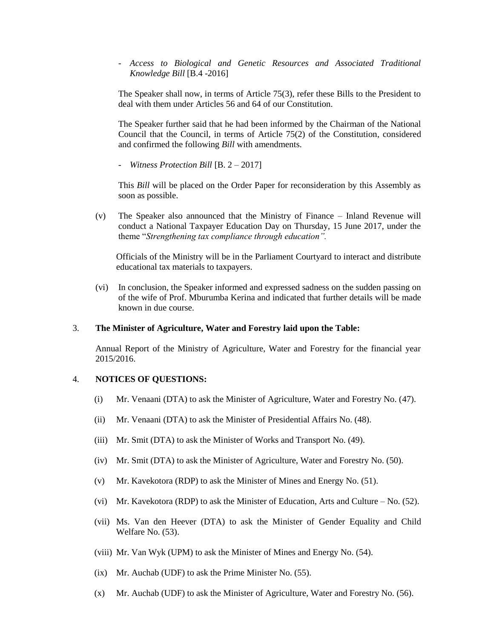*- Access to Biological and Genetic Resources and Associated Traditional Knowledge Bill* [B.4 -2016]

The Speaker shall now, in terms of Article 75(3), refer these Bills to the President to deal with them under Articles 56 and 64 of our Constitution.

The Speaker further said that he had been informed by the Chairman of the National Council that the Council, in terms of Article 75(2) of the Constitution, considered and confirmed the following *Bill* with amendments.

*- Witness Protection Bill* [B. 2 – 2017]

This *Bill* will be placed on the Order Paper for reconsideration by this Assembly as soon as possible.

(v) The Speaker also announced that the Ministry of Finance – Inland Revenue will conduct a National Taxpayer Education Day on Thursday, 15 June 2017, under the theme "*Strengthening tax compliance through education".*

Officials of the Ministry will be in the Parliament Courtyard to interact and distribute educational tax materials to taxpayers.

(vi) In conclusion, the Speaker informed and expressed sadness on the sudden passing on of the wife of Prof. Mburumba Kerina and indicated that further details will be made known in due course.

# 3. **The Minister of Agriculture, Water and Forestry laid upon the Table:**

Annual Report of the Ministry of Agriculture, Water and Forestry for the financial year 2015/2016.

#### 4. **NOTICES OF QUESTIONS:**

- (i) Mr. Venaani (DTA) to ask the Minister of Agriculture, Water and Forestry No. (47).
- (ii) Mr. Venaani (DTA) to ask the Minister of Presidential Affairs No. (48).
- (iii) Mr. Smit (DTA) to ask the Minister of Works and Transport No. (49).
- (iv) Mr. Smit (DTA) to ask the Minister of Agriculture, Water and Forestry No. (50).
- (v) Mr. Kavekotora (RDP) to ask the Minister of Mines and Energy No. (51).
- (vi) Mr. Kavekotora (RDP) to ask the Minister of Education, Arts and Culture No.  $(52)$ .
- (vii) Ms. Van den Heever (DTA) to ask the Minister of Gender Equality and Child Welfare No. (53).
- (viii) Mr. Van Wyk (UPM) to ask the Minister of Mines and Energy No. (54).
- (ix) Mr. Auchab (UDF) to ask the Prime Minister No. (55).
- (x) Mr. Auchab (UDF) to ask the Minister of Agriculture, Water and Forestry No. (56).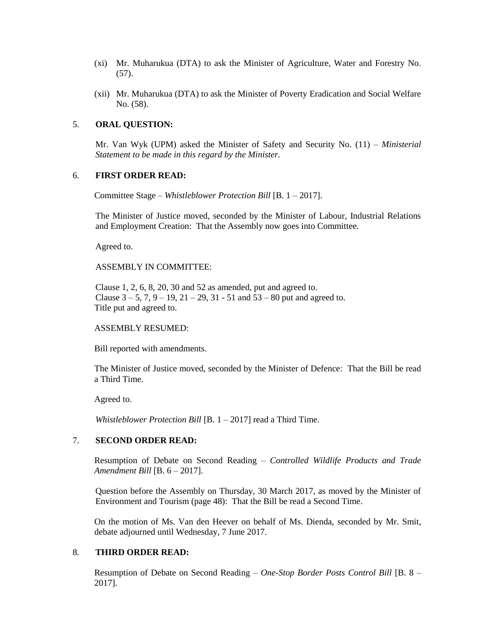- (xi) Mr. Muharukua (DTA) to ask the Minister of Agriculture, Water and Forestry No.  $(57)$ .
- (xii) Mr. Muharukua (DTA) to ask the Minister of Poverty Eradication and Social Welfare No. (58).

## 5. **ORAL QUESTION:**

Mr. Van Wyk (UPM) asked the Minister of Safety and Security No. (11) – *Ministerial Statement to be made in this regard by the Minister.*

## 6. **FIRST ORDER READ:**

Committee Stage – *Whistleblower Protection Bill* [B. 1 – 2017].

The Minister of Justice moved, seconded by the Minister of Labour, Industrial Relations and Employment Creation: That the Assembly now goes into Committee.

Agreed to.

## ASSEMBLY IN COMMITTEE:

Clause 1, 2, 6, 8, 20, 30 and 52 as amended, put and agreed to. Clause  $3 - 5$ ,  $7$ ,  $9 - 19$ ,  $21 - 29$ ,  $31 - 51$  and  $53 - 80$  put and agreed to. Title put and agreed to.

## ASSEMBLY RESUMED:

Bill reported with amendments.

The Minister of Justice moved, seconded by the Minister of Defence: That the Bill be read a Third Time.

Agreed to.

*Whistleblower Protection Bill* [B. 1 – 2017] read a Third Time.

## 7. **SECOND ORDER READ:**

Resumption of Debate on Second Reading – *Controlled Wildlife Products and Trade Amendment Bill* [B. 6 – 2017].

Question before the Assembly on Thursday, 30 March 2017, as moved by the Minister of Environment and Tourism (page 48): That the Bill be read a Second Time.

On the motion of Ms. Van den Heever on behalf of Ms. Dienda, seconded by Mr. Smit, debate adjourned until Wednesday, 7 June 2017.

## 8. **THIRD ORDER READ:**

Resumption of Debate on Second Reading – *One-Stop Border Posts Control Bill* [B. 8 – 2017].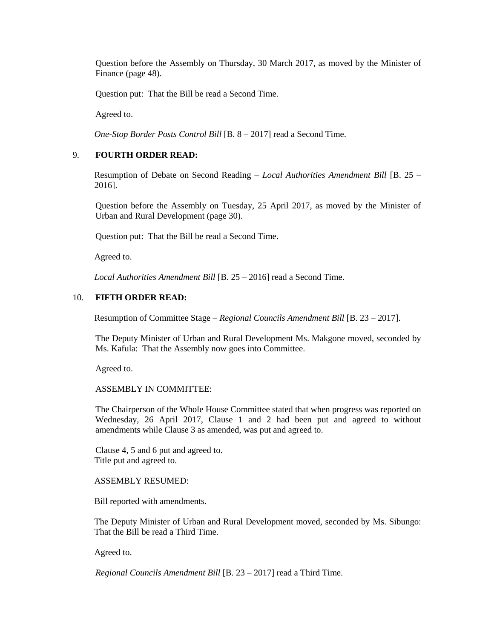Question before the Assembly on Thursday, 30 March 2017, as moved by the Minister of Finance (page 48).

Question put: That the Bill be read a Second Time.

Agreed to.

*One-Stop Border Posts Control Bill* [B. 8 – 2017] read a Second Time.

# 9. **FOURTH ORDER READ:**

Resumption of Debate on Second Reading – *Local Authorities Amendment Bill* [B. 25 – 2016].

Question before the Assembly on Tuesday, 25 April 2017, as moved by the Minister of Urban and Rural Development (page 30).

Question put: That the Bill be read a Second Time.

Agreed to.

*Local Authorities Amendment Bill* [B. 25 – 2016] read a Second Time.

## 10. **FIFTH ORDER READ:**

Resumption of Committee Stage – *Regional Councils Amendment Bill* [B. 23 – 2017].

The Deputy Minister of Urban and Rural Development Ms. Makgone moved, seconded by Ms. Kafula: That the Assembly now goes into Committee.

Agreed to.

ASSEMBLY IN COMMITTEE:

The Chairperson of the Whole House Committee stated that when progress was reported on Wednesday, 26 April 2017, Clause 1 and 2 had been put and agreed to without amendments while Clause 3 as amended, was put and agreed to.

Clause 4, 5 and 6 put and agreed to. Title put and agreed to.

## ASSEMBLY RESUMED:

Bill reported with amendments.

The Deputy Minister of Urban and Rural Development moved, seconded by Ms. Sibungo: That the Bill be read a Third Time.

Agreed to.

*Regional Councils Amendment Bill* [B. 23 – 2017] read a Third Time.